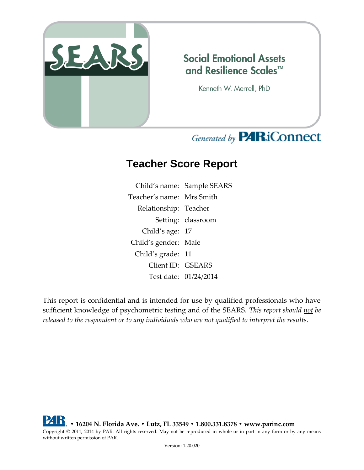

## **Social Emotional Assets** and Resilience Scales™

Kenneth W. Merrell, PhD

# Generated by **PARiConnect**

## **Teacher Score Report**

Child's name: Sample SEARS Teacher's name: Mrs Smith Relationship: Teacher Setting: classroom Child's age: 17 Child's gender: Male Child's grade: 11 Client ID: GSEARS Test date: 01/24/2014

This report is confidential and is intended for use by qualified professionals who have sufficient knowledge of psychometric testing and of the SEARS. *This report should not be released to the respondent or to any individuals who are not qualified to interpret the results.*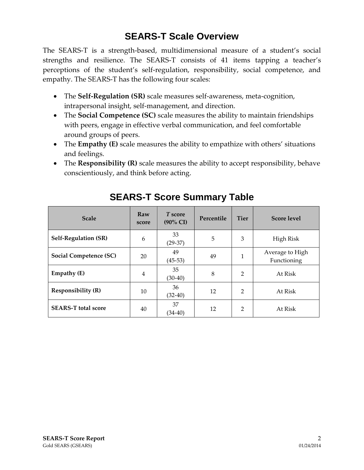## **SEARS-T Scale Overview**

The SEARS-T is a strength-based, multidimensional measure of a student's social strengths and resilience. The SEARS-T consists of 41 items tapping a teacher's perceptions of the student's self-regulation, responsibility, social competence, and empathy. The SEARS-T has the following four scales:

- The **Self-Regulation (SR)** scale measures self-awareness, meta-cognition, intrapersonal insight, self-management, and direction.
- The **Social Competence (SC)** scale measures the ability to maintain friendships with peers, engage in effective verbal communication, and feel comfortable around groups of peers.
- The **Empathy (E)** scale measures the ability to empathize with others' situations and feelings.
- The **Responsibility (R)** scale measures the ability to accept responsibility, behave conscientiously, and think before acting.

| <b>Scale</b>                | Raw<br>score   | T score<br>$(90\% \text{ CI})$ | Percentile | <b>Tier</b>    | <b>Score level</b>             |
|-----------------------------|----------------|--------------------------------|------------|----------------|--------------------------------|
| <b>Self-Regulation (SR)</b> | 6              | 33<br>$(29-37)$                | 5          | 3              | High Risk                      |
| Social Competence (SC)      | 20             | 49<br>$(45-53)$                | 49         | 1              | Average to High<br>Functioning |
| Empathy (E)                 | $\overline{4}$ | 35<br>$(30-40)$                | 8          | $\overline{2}$ | At Risk                        |
| <b>Responsibility (R)</b>   | 10             | 36<br>$(32-40)$                | 12         | $\overline{2}$ | At Risk                        |
| <b>SEARS-T</b> total score  | 40             | 37<br>$(34-40)$                | 12         | $\overline{2}$ | At Risk                        |

#### **SEARS-T Score Summary Table**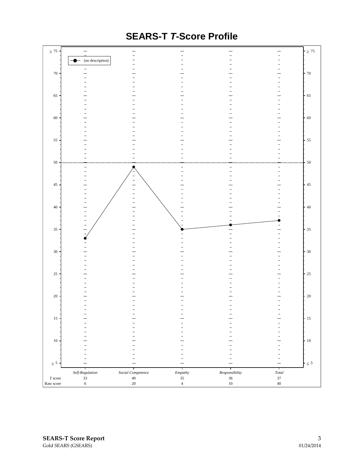

#### **SEARS-T** *T***-Score Profile**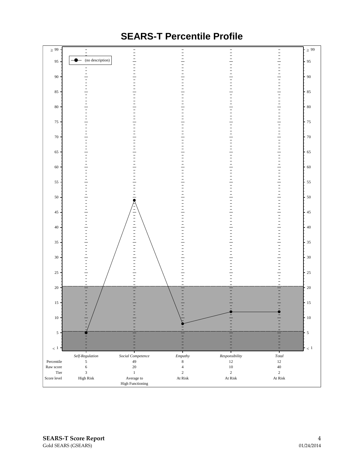

## **SEARS-T Percentile Profile**